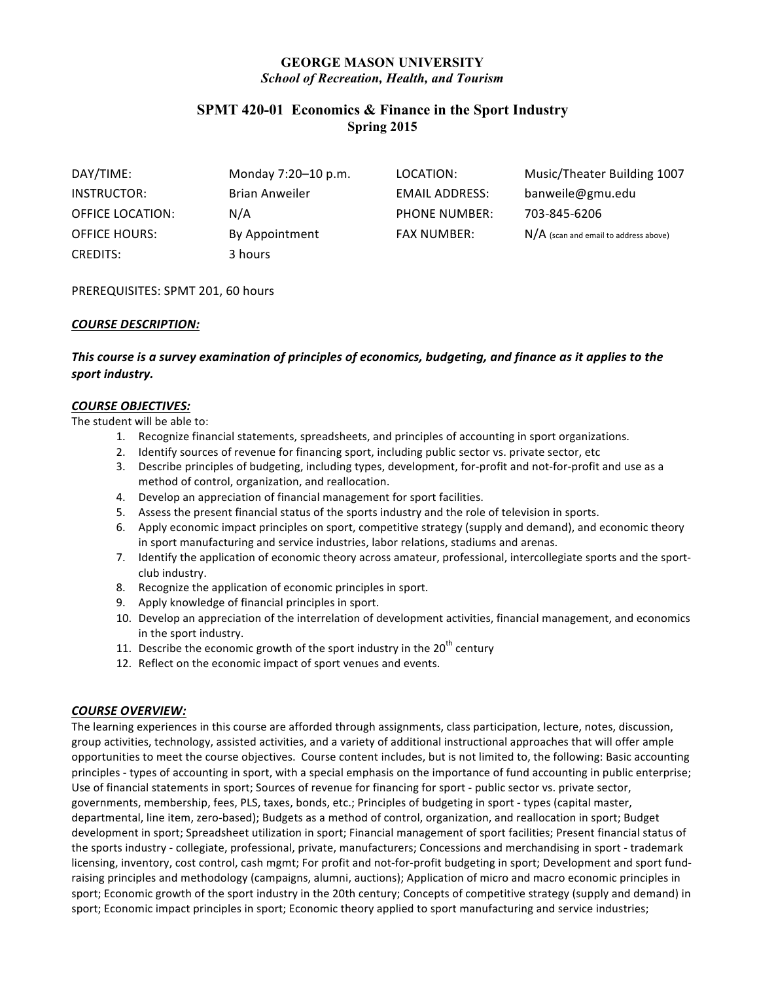# **GEORGE MASON UNIVERSITY** *School of Recreation, Health, and Tourism*

# **SPMT 420-01 Economics & Finance in the Sport Industry Spring 2015**

| DAY/TIME:               | Monday 7:20-10 p.m.   | LOCATION:             | Music/Theater Building 1007             |
|-------------------------|-----------------------|-----------------------|-----------------------------------------|
| INSTRUCTOR:             | <b>Brian Anweiler</b> | <b>EMAIL ADDRESS:</b> | banweile@gmu.edu                        |
| <b>OFFICE LOCATION:</b> | N/A                   | <b>PHONE NUMBER:</b>  | 703-845-6206                            |
| <b>OFFICE HOURS:</b>    | By Appointment        | <b>FAX NUMBER:</b>    | $N/A$ (scan and email to address above) |
| <b>CREDITS:</b>         | 3 hours               |                       |                                         |

PREREQUISITES: SPMT 201, 60 hours

## *COURSE DESCRIPTION:*

# This course is a survey examination of principles of economics, budgeting, and finance as it applies to the sport industry.

#### *COURSE OBJECTIVES:*

The student will be able to:

- 1. Recognize financial statements, spreadsheets, and principles of accounting in sport organizations.
- 2. Identify sources of revenue for financing sport, including public sector vs. private sector, etc
- 3. Describe principles of budgeting, including types, development, for-profit and not-for-profit and use as a method of control, organization, and reallocation.
- 4. Develop an appreciation of financial management for sport facilities.
- 5. Assess the present financial status of the sports industry and the role of television in sports.
- 6. Apply economic impact principles on sport, competitive strategy (supply and demand), and economic theory in sport manufacturing and service industries, labor relations, stadiums and arenas.
- 7. Identify the application of economic theory across amateur, professional, intercollegiate sports and the sportclub industry.
- 8. Recognize the application of economic principles in sport.
- 9. Apply knowledge of financial principles in sport.
- 10. Develop an appreciation of the interrelation of development activities, financial management, and economics in the sport industry.
- 11. Describe the economic growth of the sport industry in the  $20<sup>th</sup>$  century
- 12. Reflect on the economic impact of sport venues and events.

### *COURSE OVERVIEW:*

The learning experiences in this course are afforded through assignments, class participation, lecture, notes, discussion, group activities, technology, assisted activities, and a variety of additional instructional approaches that will offer ample opportunities to meet the course objectives. Course content includes, but is not limited to, the following: Basic accounting principles - types of accounting in sport, with a special emphasis on the importance of fund accounting in public enterprise; Use of financial statements in sport; Sources of revenue for financing for sport - public sector vs. private sector, governments, membership, fees, PLS, taxes, bonds, etc.; Principles of budgeting in sport - types (capital master, departmental, line item, zero-based); Budgets as a method of control, organization, and reallocation in sport; Budget development in sport; Spreadsheet utilization in sport; Financial management of sport facilities; Present financial status of the sports industry - collegiate, professional, private, manufacturers; Concessions and merchandising in sport - trademark licensing, inventory, cost control, cash mgmt; For profit and not-for-profit budgeting in sport; Development and sport fundraising principles and methodology (campaigns, alumni, auctions); Application of micro and macro economic principles in sport; Economic growth of the sport industry in the 20th century; Concepts of competitive strategy (supply and demand) in sport; Economic impact principles in sport; Economic theory applied to sport manufacturing and service industries;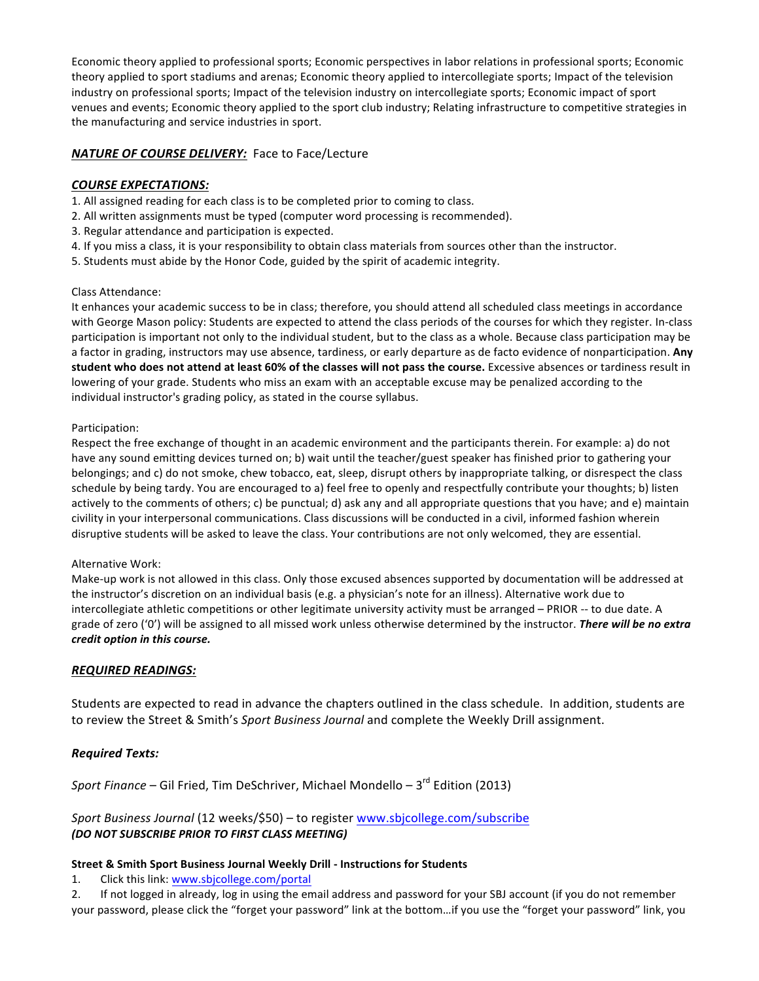Economic theory applied to professional sports; Economic perspectives in labor relations in professional sports; Economic theory applied to sport stadiums and arenas; Economic theory applied to intercollegiate sports; Impact of the television industry on professional sports; Impact of the television industry on intercollegiate sports; Economic impact of sport venues and events; Economic theory applied to the sport club industry; Relating infrastructure to competitive strategies in the manufacturing and service industries in sport.

## **NATURE OF COURSE DELIVERY:** Face to Face/Lecture

### *COURSE EXPECTATIONS:*

- 1. All assigned reading for each class is to be completed prior to coming to class.
- 2. All written assignments must be typed (computer word processing is recommended).
- 3. Regular attendance and participation is expected.
- 4. If you miss a class, it is your responsibility to obtain class materials from sources other than the instructor.
- 5. Students must abide by the Honor Code, guided by the spirit of academic integrity.

### Class Attendance:

It enhances your academic success to be in class; therefore, you should attend all scheduled class meetings in accordance with George Mason policy: Students are expected to attend the class periods of the courses for which they register. In-class participation is important not only to the individual student, but to the class as a whole. Because class participation may be a factor in grading, instructors may use absence, tardiness, or early departure as de facto evidence of nonparticipation. Any student who does not attend at least 60% of the classes will not pass the course. Excessive absences or tardiness result in lowering of your grade. Students who miss an exam with an acceptable excuse may be penalized according to the individual instructor's grading policy, as stated in the course syllabus.

### Participation:

Respect the free exchange of thought in an academic environment and the participants therein. For example: a) do not have any sound emitting devices turned on; b) wait until the teacher/guest speaker has finished prior to gathering your belongings; and c) do not smoke, chew tobacco, eat, sleep, disrupt others by inappropriate talking, or disrespect the class schedule by being tardy. You are encouraged to a) feel free to openly and respectfully contribute your thoughts; b) listen actively to the comments of others; c) be punctual; d) ask any and all appropriate questions that you have; and e) maintain civility in your interpersonal communications. Class discussions will be conducted in a civil, informed fashion wherein disruptive students will be asked to leave the class. Your contributions are not only welcomed, they are essential.

### Alternative Work:

Make-up work is not allowed in this class. Only those excused absences supported by documentation will be addressed at the instructor's discretion on an individual basis (e.g. a physician's note for an illness). Alternative work due to intercollegiate athletic competitions or other legitimate university activity must be arranged - PRIOR -- to due date. A grade of zero ('0') will be assigned to all missed work unless otherwise determined by the instructor. There will be no extra *credit option in this course.*

## *REQUIRED READINGS:*

Students are expected to read in advance the chapters outlined in the class schedule. In addition, students are to review the Street & Smith's Sport Business Journal and complete the Weekly Drill assignment.

## *Required Texts:*

*Sport Finance* – Gil Fried, Tim DeSchriver, Michael Mondello – 3<sup>rd</sup> Edition (2013)

## Sport Business Journal (12 weeks/\$50) - to register www.sbjcollege.com/subscribe *(DO NOT SUBSCRIBE PRIOR TO FIRST CLASS MEETING)*

### **Street & Smith Sport Business Journal Weekly Drill - Instructions for Students**

1. Click this link: www.sbjcollege.com/portal

2. If not logged in already, log in using the email address and password for your SBJ account (if you do not remember your password, please click the "forget your password" link at the bottom...if you use the "forget your password" link, you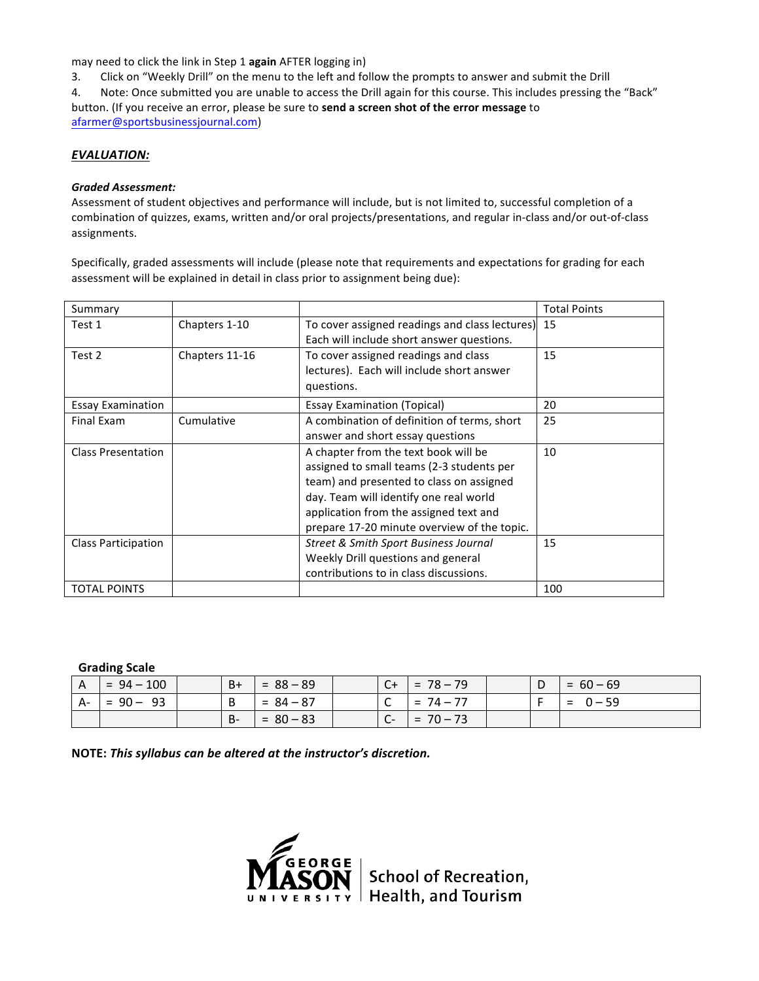may need to click the link in Step 1 again AFTER logging in)

3. Click on "Weekly Drill" on the menu to the left and follow the prompts to answer and submit the Drill

4. Note: Once submitted you are unable to access the Drill again for this course. This includes pressing the "Back" button. (If you receive an error, please be sure to send a screen shot of the error message to afarmer@sportsbusinessjournal.com)

### *EVALUATION:*

#### *Graded Assessment:*

Assessment of student objectives and performance will include, but is not limited to, successful completion of a combination of quizzes, exams, written and/or oral projects/presentations, and regular in-class and/or out-of-class assignments.

Specifically, graded assessments will include (please note that requirements and expectations for grading for each assessment will be explained in detail in class prior to assignment being due):

| Summary                   |                |                                                                                                                                                                                                                                                                  | <b>Total Points</b> |
|---------------------------|----------------|------------------------------------------------------------------------------------------------------------------------------------------------------------------------------------------------------------------------------------------------------------------|---------------------|
| Test 1                    | Chapters 1-10  | To cover assigned readings and class lectures) 15<br>Each will include short answer questions.                                                                                                                                                                   |                     |
| Test 2                    | Chapters 11-16 | To cover assigned readings and class<br>lectures). Each will include short answer<br>questions.                                                                                                                                                                  | 15                  |
| <b>Essay Examination</b>  |                | <b>Essay Examination (Topical)</b>                                                                                                                                                                                                                               | 20                  |
| Final Exam                | Cumulative     | A combination of definition of terms, short<br>answer and short essay questions                                                                                                                                                                                  | 25                  |
| <b>Class Presentation</b> |                | A chapter from the text book will be<br>assigned to small teams (2-3 students per<br>team) and presented to class on assigned<br>day. Team will identify one real world<br>application from the assigned text and<br>prepare 17-20 minute overview of the topic. | 10                  |
| Class Participation       |                | Street & Smith Sport Business Journal<br>Weekly Drill questions and general<br>contributions to in class discussions.                                                                                                                                            | 15                  |
| <b>TOTAL POINTS</b>       |                |                                                                                                                                                                                                                                                                  | 100                 |

### **Grading Scale**

| A    | $= 94 - 100$ | $B+$      | $= 88 - 89$ | $C+$ | $= 78 - 79$ | D | $= 60 - 69$     |
|------|--------------|-----------|-------------|------|-------------|---|-----------------|
| - A- | $= 90 - 93$  |           | $= 84 - 87$ | ັ    | $= 74 - 77$ |   | $0 - 59$<br>$=$ |
|      |              | <b>B-</b> | $= 80 - 83$ | $C-$ | $= 70 - 73$ |   |                 |

NOTE: This syllabus can be altered at the instructor's discretion.

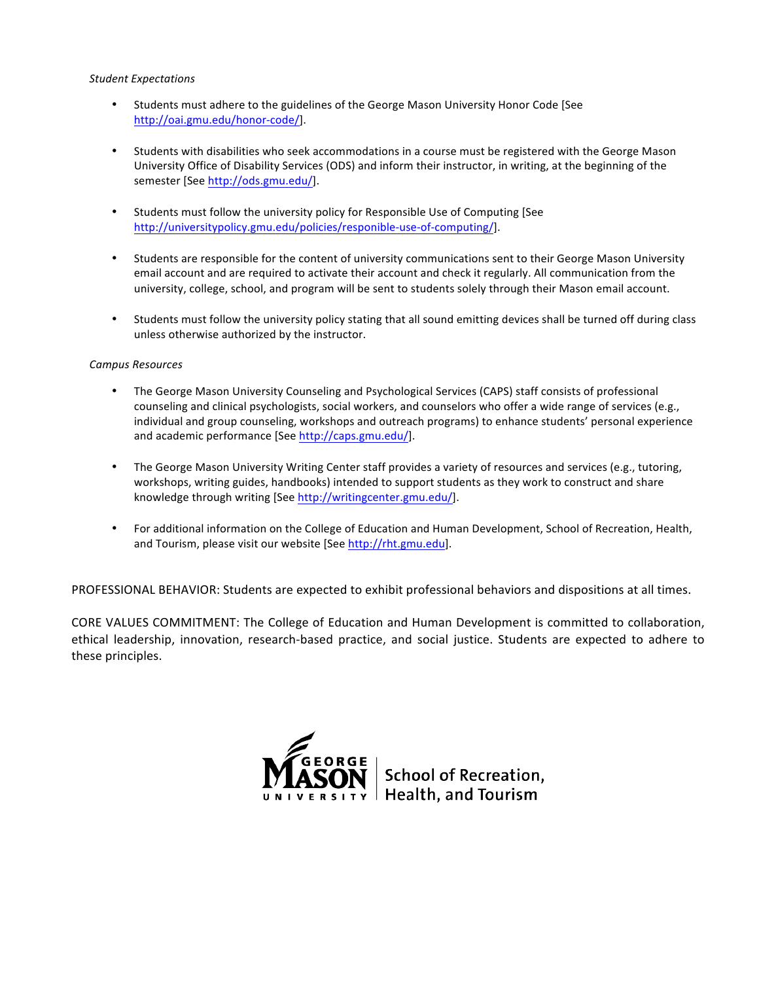#### *Student Expectations*

- Students must adhere to the guidelines of the George Mason University Honor Code [See http://oai.gmu.edu/honor-code/].
- Students with disabilities who seek accommodations in a course must be registered with the George Mason University Office of Disability Services (ODS) and inform their instructor, in writing, at the beginning of the semester [See http://ods.gmu.edu/].
- Students must follow the university policy for Responsible Use of Computing [See http://universitypolicy.gmu.edu/policies/responible-use-of-computing/].
- Students are responsible for the content of university communications sent to their George Mason University email account and are required to activate their account and check it regularly. All communication from the university, college, school, and program will be sent to students solely through their Mason email account.
- Students must follow the university policy stating that all sound emitting devices shall be turned off during class unless otherwise authorized by the instructor.

#### *Campus Resources*

- The George Mason University Counseling and Psychological Services (CAPS) staff consists of professional counseling and clinical psychologists, social workers, and counselors who offer a wide range of services (e.g., individual and group counseling, workshops and outreach programs) to enhance students' personal experience and academic performance [See http://caps.gmu.edu/].
- The George Mason University Writing Center staff provides a variety of resources and services (e.g., tutoring, workshops, writing guides, handbooks) intended to support students as they work to construct and share knowledge through writing [See http://writingcenter.gmu.edu/].
- For additional information on the College of Education and Human Development, School of Recreation, Health, and Tourism, please visit our website [See http://rht.gmu.edu].

PROFESSIONAL BEHAVIOR: Students are expected to exhibit professional behaviors and dispositions at all times.

CORE VALUES COMMITMENT: The College of Education and Human Development is committed to collaboration, ethical leadership, innovation, research-based practice, and social justice. Students are expected to adhere to these principles.